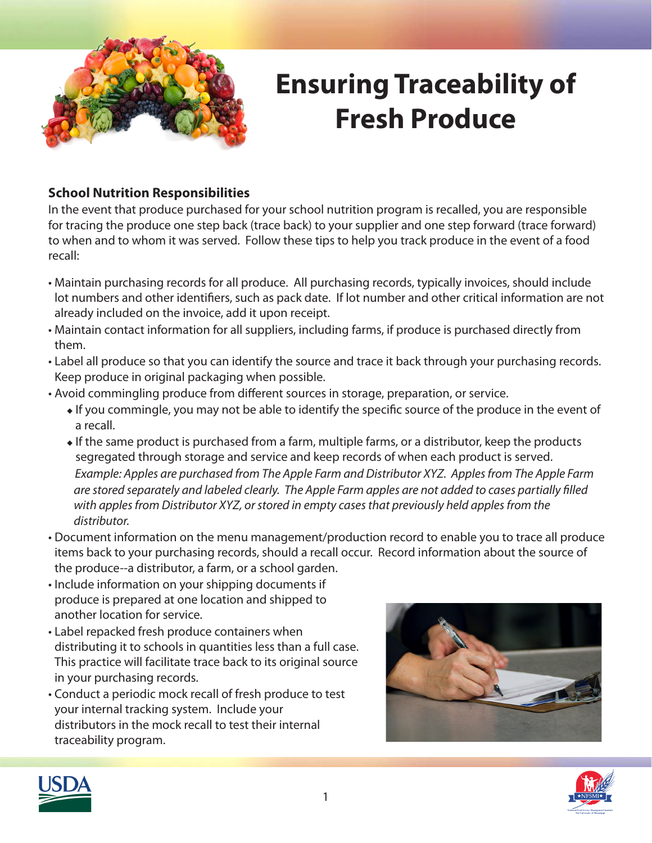

## **Ensuring Traceability of Fresh Produce**

### **School Nutrition Responsibilities**

In the event that produce purchased for your school nutrition program is recalled, you are responsible for tracing the produce one step back (trace back) to your supplier and one step forward (trace forward) to when and to whom it was served. Follow these tips to help you track produce in the event of a food recall:

- Maintain purchasing records for all produce. All purchasing records, typically invoices, should include lot numbers and other identifiers, such as pack date. If lot number and other critical information are not already included on the invoice, add it upon receipt.
- Maintain contact information for all suppliers, including farms, if produce is purchased directly from them.
- Label all produce so that you can identify the source and trace it back through your purchasing records. Keep produce in original packaging when possible.
- Avoid commingling produce from different sources in storage, preparation, or service.
	- $\bullet$  If you commingle, you may not be able to identify the specific source of the produce in the event of a recall.
	- $\bullet$  If the same product is purchased from a farm, multiple farms, or a distributor, keep the products segregated through storage and service and keep records of when each product is served. *Example: Apples are purchased from The Apple Farm and Distributor XYZ. Apples from The Apple Farm are stored separately and labeled clearly. The Apple Farm apples are not added to cases partially filled with apples from Distributor XYZ, or stored in empty cases that previously held apples from the distributor.*
- Document information on the menu management/production record to enable you to trace all produce items back to your purchasing records, should a recall occur. Record information about the source of the produce--a distributor, a farm, or a school garden.
- Include information on your shipping documents if produce is prepared at one location and shipped to another location for service.
- Label repacked fresh produce containers when distributing it to schools in quantities less than a full case. This practice will facilitate trace back to its original source in your purchasing records.
- Conduct a periodic mock recall of fresh produce to test your internal tracking system. Include your distributors in the mock recall to test their internal traceability program.





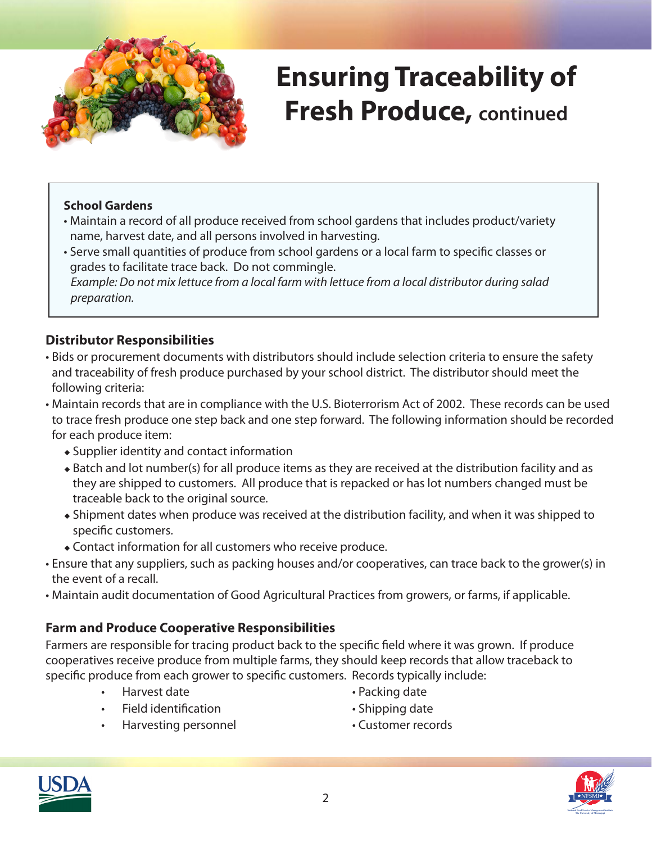

# **Ensuring Traceability of Fresh Produce, continued**

#### **School Gardens**

- Maintain a record of all produce received from school gardens that includes product/variety name, harvest date, and all persons involved in harvesting.
- Serve small quantities of produce from school gardens or a local farm to specific classes or grades to facilitate trace back. Do not commingle.  *Example: Do not mix lettuce from a local farm with lettuce from a local distributor during salad preparation.*

### **Distributor Responsibilities**

- Bids or procurement documents with distributors should include selection criteria to ensure the safety and traceability of fresh produce purchased by your school district. The distributor should meet the following criteria:
- Maintain records that are in compliance with the U.S. Bioterrorism Act of 2002. These records can be used to trace fresh produce one step back and one step forward. The following information should be recorded for each produce item:
	- $\triangle$  Supplier identity and contact information
	- Batch and lot number(s) for all produce items as they are received at the distribution facility and as they are shipped to customers. All produce that is repacked or has lot numbers changed must be traceable back to the original source.
	- Shipment dates when produce was received at the distribution facility, and when it was shipped to specific customers.
	- Contact information for all customers who receive produce.
- Ensure that any suppliers, such as packing houses and/or cooperatives, can trace back to the grower(s) in the event of a recall.
- Maintain audit documentation of Good Agricultural Practices from growers, or farms, if applicable.

### **Farm and Produce Cooperative Responsibilities**

Farmers are responsible for tracing product back to the specific field where it was grown. If produce cooperatives receive produce from multiple farms, they should keep records that allow traceback to specific produce from each grower to specific customers. Records typically include:

- 
- Harvest date Packing date
- Field identification **•** Shipping date
- 
- Harvesting personnel Customer records
-